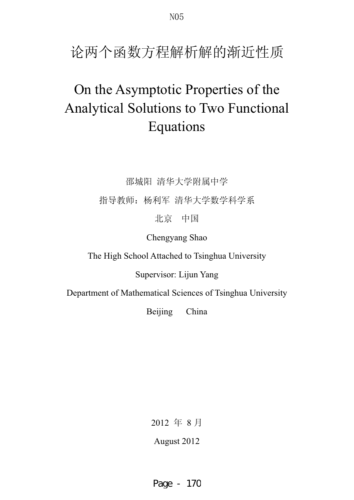论两个函数方程解析解的渐近性质

# On the Asymptotic Properties of the Analytical Solutions to Two Functional Equations

邵城阳 清华大学附属中学

指导教师: 杨利军 清华大学数学科学系

北京中国

Chengyang Shao

The High School Attached to Tsinghua University

Supervisor: Lijun Yang

Department of Mathematical Sciences of Tsinghua University

Beijing China

2012 年 8 月

August 2012

Page - 170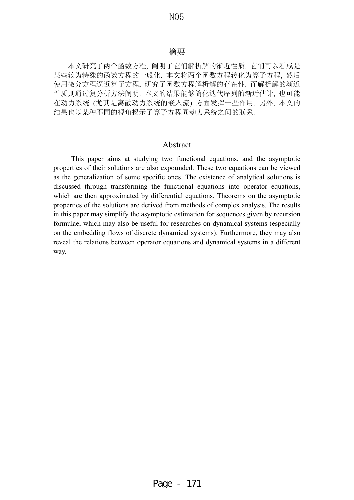### 摘要

本文研究了两个函数方程, 阐明了它们解析解的渐近性质. 它们可以看成是 某些较为特殊的函数方程的一般化. 本文将两个函数方程转化为算子方程, 然后 使用微分方程逼近算子方程, 研究了函数方程解析解的存在性. 而解析解的渐近 性质则通过复分析方法阐明. 本文的结果能够简化迭代序列的渐近估计, 也可能 在动力系统(尤其是离散动力系统的嵌入流)方面发挥一些作用. 另外, 本文的 结果也以某种不同的视角揭示了算子方程同动力系统之间的联系.

## Abstract

This paper aims at studying two functional equations, and the asymptotic properties of their solutions are also expounded. These two equations can be viewed as the generalization of some specific ones. The existence of analytical solutions is discussed through transforming the functional equations into operator equations, which are then approximated by differential equations. Theorems on the asymptotic properties of the solutions are derived from methods of complex analysis. The results in this paper may simplify the asymptotic estimation for sequences given by recursion formulae, which may also be useful for researches on dynamical systems (especially on the embedding flows of discrete dynamical systems). Furthermore, they may also reveal the relations between operator equations and dynamical systems in a different way.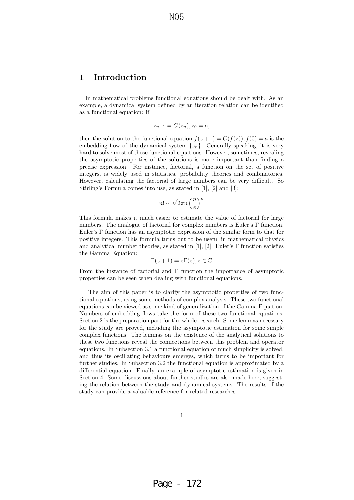# **1 Introduction**

In mathematical problems functional equations should be dealt with. As an example, a dynamical system defined by an iteration relation can be identified as a functional equation: if

$$
z_{n+1} = G(z_n), z_0 = a,
$$

then the solution to the functional equation  $f(z+1) = G(f(z)), f(0) = a$  is the embedding flow of the dynamical system  $\{z_n\}$ . Generally speaking, it is very hard to solve most of those functional equations. However, sometimes, revealing the asymptotic properties of the solutions is more important than finding a precise expression. For instance, factorial, a function on the set of positive integers, is widely used in statistics, probability theories and combinatorics. However, calculating the factorial of large numbers can be very difficult. So Stirling's Formula comes into use, as stated in [1], [2] and [3]:

$$
n! \sim \sqrt{2\pi n} \left(\frac{n}{e}\right)^n
$$

This formula makes it much easier to estimate the value of factorial for large numbers. The analogue of factorial for complex numbers is Euler's Γ function. Euler's Γ function has an asymptotic expression of the similar form to that for positive integers. This formula turns out to be useful in mathematical physics and analytical number theories, as stated in [1], [2]. Euler's  $\Gamma$  function satisfies the Gamma Equation:

$$
\Gamma(z+1) = z\Gamma(z), z \in \mathbb{C}
$$

From the instance of factorial and  $\Gamma$  function the importance of asymptotic properties can be seen when dealing with functional equations.

The aim of this paper is to clarify the asymptotic properties of two functional equations, using some methods of complex analysis. These two functional equations can be viewed as some kind of generalization of the Gamma Equation. Numbers of embedding flows take the form of these two functional equations. Section 2 is the preparation part for the whole research. Some lemmas necessary for the study are proved, including the asymptotic estimation for some simple complex functions. The lemmas on the existence of the analytical solutions to these two functions reveal the connections between this problem and operator equations. In Subsection 3.1 a functional equation of much simplicity is solved, and thus its oscillating behaviours emerges, which turns to be important for further studies. In Subsection 3.2 the functional equation is approximated by a differential equation. Finally, an example of asymptotic estimation is given in Section 4. Some discussions about further studies are also made here, suggesting the relation between the study and dynamical systems. The results of the study can provide a valuable reference for related researches.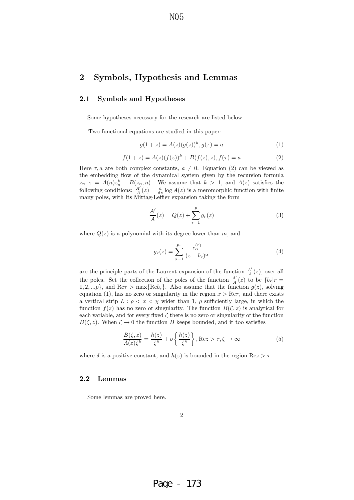N<sub>05</sub>

# **2 Symbols, Hypothesis and Lemmas**

#### **2.1 Symbols and Hypotheses**

Some hypotheses necessary for the research are listed below.

Two functional equations are studied in this paper:

$$
g(1+z) = A(z)(g(z))^{k}, g(\tau) = a \tag{1}
$$

$$
f(1+z) = A(z)(f(z))^{k} + B(f(z), z), f(\tau) = a
$$
\n(2)

Here  $\tau, a$  are both complex constants,  $a \neq 0$ . Equation (2) can be viewed as the embedding flow of the dynamical system given by the recursion formula  $z_{n+1} = A(n)z_n^k + B(z_n, n)$ . We assume that  $k > 1$ , and  $A(z)$  satisfies the following conditions:  $\frac{A'}{A}(z) = \frac{d}{dz} \log A(z)$  is a meromorphic function with finite many poles, with its Mittag-Leffler expansion taking the form

$$
\frac{A'}{A}(z) = Q(z) + \sum_{r=1}^{p} g_r(z)
$$
\n(3)

where  $Q(z)$  is a polynomial with its degree lower than m, and

$$
g_r(z) = \sum_{\alpha=1}^{p_r} \frac{c_{\alpha}^{(r)}}{(z - b_r)^{\alpha}}
$$
(4)

are the principle parts of the Laurent expansion of the function  $\frac{A'}{A}(z)$ , over all the poles. Set the collection of the poles of the function  $\frac{A'}{A}(z)$  to be  $\{b_r|r=$  $1, 2, \ldots p$ , and Re $\tau > \max{\{\text{Re}b_r\}}$ . Also assume that the function  $g(z)$ , solving equation (1), has no zero or singularity in the region  $x > \text{Re}\tau$ , and there exists a vertical strip  $L : \rho < x < \chi$  wider than 1,  $\rho$  sufficiently large, in which the function  $f(z)$  has no zero or singularity. The function  $B(\zeta, z)$  is analytical for each variable, and for every fixed  $\zeta$  there is no zero or singularity of the function  $B(\zeta, z)$ . When  $\zeta \to 0$  the function B keeps bounded, and it too satisfies

$$
\frac{B(\zeta, z)}{A(z)\zeta^k} = \frac{h(z)}{\zeta^{\delta}} + o\left\{\frac{h(z)}{\zeta^{\delta}}\right\}, \text{Re}z > \tau, \zeta \to \infty
$$
\n(5)

where  $\delta$  is a positive constant, and  $h(z)$  is bounded in the region Re $z > \tau$ .

### **2.2 Lemmas**

Some lemmas are proved here.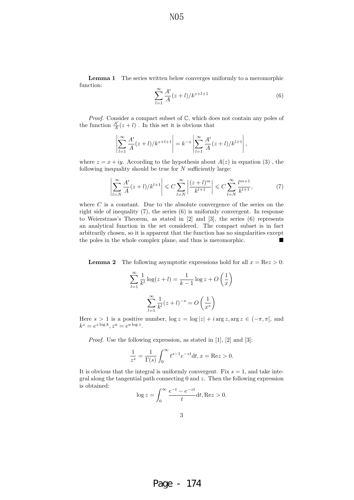N<sub>05</sub>

**Lemma 1** The series written below converges uniformly to a meromorphic function:

$$
\sum_{l=1}^{\infty} \frac{A'}{A}(z+l)/k^{z+l+1}
$$
 (6)

*Proof.* Consider a compact subset of  $\mathbb{C}$ , which does not contain any poles of the function  $\frac{A'}{A}(z+l)$ . In this set it is obvious that

$$
\left| \sum_{l=1}^{\infty} \frac{A'}{A} (z+l) / k^{z+l+1} \right| = k^{-x} \left| \sum_{l=1}^{\infty} \frac{A'}{A} (z+l) / k^{l+1} \right|,
$$

where  $z = x + iy$ . According to the hypothesis about  $A(z)$  in equation (3), the following inequality should be true for  $N$  sufficiently large:

$$
\left|\sum_{l=N}^{\infty} \frac{A'}{A}(z+l)/k^{l+1}\right| \leq C \sum_{l=N}^{\infty} \left|\frac{(z+l)^m}{k^{l+1}}\right| \leq C \sum_{l=N}^{\infty} \frac{l^{m+1}}{k^{l+1}},\tag{7}
$$

where  $C$  is a constant. Due to the absolute convergence of the series on the right side of inequality (7), the series (6) is uniformly convergent. In response to Weierstrass's Theorem, as stated in [2] and [3], the series (6) represents an analytical function in the set considered. The compact subset is in fact arbitrarily chosen, so it is apparent that the function has no singularities except the poles in the whole complex plane, and thus is meromorphic.

**Lemma 2** The following asymptotic expressions hold for all  $x = \text{Re} z > 0$ :

$$
\sum_{l=1}^{\infty} \frac{1}{k^l} \log(z+l) = \frac{1}{k-1} \log z + O\left(\frac{1}{x}\right)
$$

$$
\sum_{l=1}^{\infty} \frac{1}{k^l} (z+l)^{-s} = O\left(\frac{1}{x^s}\right)
$$

Here  $s > 1$  is a positive number,  $\log z = \log |z| + i \arg z$ ,  $\arg z \in (-\pi, \pi]$ , and  $k^z = e^{z \log k}, z^a = e^{a \log z}.$ 

Proof. Use the following expression, as stated in [1], [2] and [3]:

$$
\frac{1}{z^{s}} = \frac{1}{\Gamma(s)} \int_{0}^{\infty} t^{s-1} e^{-zt} dt, x = \text{Re} z > 0.
$$

It is obvious that the integral is uniformly convergent. Fix  $s = 1$ , and take integral along the tangential path connecting 0 and z. Then the following expression is obtained:

$$
\log z = \int_0^\infty \frac{e^{-t} - e^{-zt}}{t} dt, \text{Re} z > 0.
$$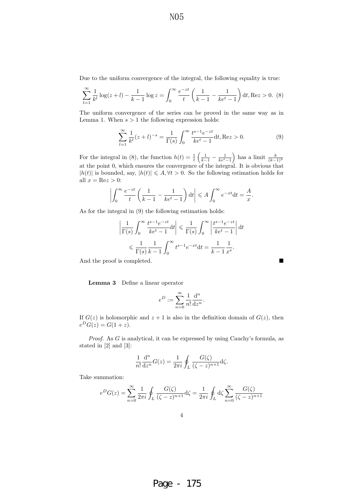Due to the uniform convergence of the integral, the following equality is true:

$$
\sum_{l=1}^{\infty} \frac{1}{k^l} \log(z+l) - \frac{1}{k-1} \log z = \int_0^{\infty} \frac{e^{-zt}}{t} \left( \frac{1}{k-1} - \frac{1}{ke^t - 1} \right) dt, \text{Re} z > 0. \tag{8}
$$

The uniform convergence of the series can be proved in the same way as in Lemma 1. When  $s > 1$  the following expression holds:

$$
\sum_{l=1}^{\infty} \frac{1}{k^l} (z+l)^{-s} = \frac{1}{\Gamma(s)} \int_0^{\infty} \frac{t^{s-1} e^{-zt}}{ke^t - 1} dt, \text{Re} z > 0.
$$
 (9)

For the integral in (8), the function  $h(t) = \frac{1}{t} \left( \frac{1}{k-1} - \frac{1}{ke^t - 1} \right)$ ) has a limit  $\frac{k}{(k-1)^2}$ at the point 0, which ensures the convergence of the integral. It is obvious that  $|h(t)|$  is bounded, say,  $|h(t)| \leq A, \forall t > 0$ . So the following estimation holds for all  $x = \text{Re} z > 0$ :

$$
\left| \int_0^\infty \frac{e^{-zt}}{t} \left( \frac{1}{k-1} - \frac{1}{ke^t - 1} \right) dt \right| \leqslant A \int_0^\infty e^{-xt} dt = \frac{A}{x}.
$$

As for the integral in (9) the following estimation holds:

$$
\left| \frac{1}{\Gamma(s)} \int_0^\infty \frac{t^{s-1} e^{-zt}}{ke^t - 1} dt \right| \leq \frac{1}{\Gamma(s)} \int_0^\infty \left| \frac{t^{s-1} e^{-zt}}{ke^t - 1} \right| dt
$$
  

$$
\leq \frac{1}{\Gamma(s)} \frac{1}{k-1} \int_0^\infty t^{s-1} e^{-xt} dt = \frac{1}{k-1} \frac{1}{x^s}.
$$

And the proof is completed.  $\hfill\blacksquare$ 

**Lemma 3** Define a linear operator

$$
e^D:=\sum_{n=0}^\infty\frac{1}{n!}\frac{\mathrm{d}^n}{\mathrm{d}z^n}.
$$

If  $G(z)$  is holomorphic and  $z + 1$  is also in the definition domain of  $G(z)$ , then  $e^{D}G(z) = G(1 + z).$ 

Proof. As G is analytical, it can be expressed by using Cauchy's formula, as stated in [2] and [3]:

$$
\frac{1}{n!} \frac{d^n}{dz^n} G(z) = \frac{1}{2\pi i} \oint_L \frac{G(\zeta)}{(\zeta - z)^{n+1}} d\zeta.
$$

Take summation:

$$
e^{D}G(z) = \sum_{n=0}^{\infty} \frac{1}{2\pi i} \oint_{L} \frac{G(\zeta)}{(\zeta - z)^{n+1}} d\zeta = \frac{1}{2\pi i} \oint_{L} d\zeta \sum_{n=0}^{\infty} \frac{G(\zeta)}{(\zeta - z)^{n+1}}
$$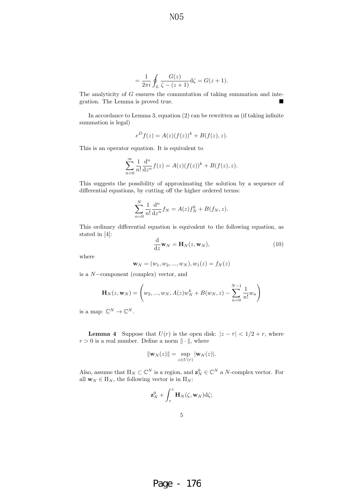1

$$
= \frac{1}{2\pi i} \oint_L \frac{G(z)}{\zeta - (z+1)} d\zeta = G(z+1).
$$

The analyticity of G ensures the commutation of taking summation and integration. The Lemma is proved true.

In accordance to Lemma 3, equation (2) can be rewritten as (if taking infinite summation is legal)

$$
eD f(z) = A(z)(f(z))k + B(f(z), z).
$$

This is an operator equation. It is equivalent to

$$
\sum_{n=0}^{\infty} \frac{1}{n!} \frac{d^n}{dz^n} f(z) = A(z)(f(z))^k + B(f(z), z).
$$

This suggests the possibility of approximating the solution by a sequence of differential equations, by cutting off the higher ordered terms:

$$
\sum_{n=0}^{N} \frac{1}{n!} \frac{d^n}{dz^n} f_N = A(z) f_N^k + B(f_N, z).
$$

This ordinary differential equation is equivalent to the following equation, as stated in [4]:

$$
\frac{\mathrm{d}}{\mathrm{d}z}\mathbf{w}_N = \mathbf{H}_N(z, \mathbf{w}_N),\tag{10}
$$

where

$$
\mathbf{w}_N = (w_1, w_2, ..., w_N), w_1(z) = f_N(z)
$$

is a N−component (complex) vector, and

$$
\mathbf{H}_{N}(z, \mathbf{w}_{N}) = \left(w_{2}, ..., w_{N}, A(z)w_{N}^{k} + B(w_{N}, z) - \sum_{n=0}^{N-1} \frac{1}{n!}w_{n}\right)
$$

is a map:  $\mathbb{C}^N \to \mathbb{C}^N$ .

**Lemma 4** Suppose that  $U(r)$  is the open disk:  $|z - \tau| < 1/2 + r$ , where  $r > 0$  is a real number. Define a norm  $\|\cdot\|$ , where

$$
\|\mathbf{w}_N(z)\| = \sup_{z \in U(r)} |\mathbf{w}_N(z)|.
$$

Also, assume that  $\Pi_N \subset \mathbb{C}^N$  is a region, and  $\mathbf{z}_N^0 \in \mathbb{C}^N$  a N-complex vector. For all **w**<sub>N</sub>  $\in \Pi_N$ , the following vector is in  $\Pi_N$ :

$$
\mathbf{z}_N^0 + \int_{\tau}^z \mathbf{H}_N(\zeta, \mathbf{w}_N) \mathrm{d}\zeta;
$$

5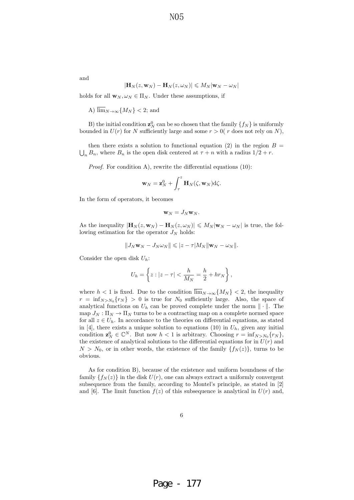and

$$
|\mathbf{H}_{N}(z,\mathbf{w}_{N})-\mathbf{H}_{N}(z,\omega_{N})|\leqslant M_{N}|\mathbf{w}_{N}-\omega_{N}|
$$

holds for all  $\mathbf{w}_N, \omega_N \in \Pi_N$ . Under these assumptions, if

A) 
$$
\lim_{N \to \infty} \{M_N\} < 2
$$
; and

B) the initial condition  $\mathbf{z}_N^0$  can be so chosen that the family  $\{f_N\}$  is uniformly bounded in  $U(r)$  for N sufficiently large and some  $r > 0(r)$  does not rely on N),

then there exists a solution to functional equation (2) in the region  $B =$  $\bigcup_n B_n$ , where  $B_n$  is the open disk centered at  $\tau + n$  with a radius  $1/2 + r$ .

Proof. For condition A), rewrite the differential equations (10):

$$
\mathbf{w}_N = \mathbf{z}_N^0 + \int_{\tau}^{z} \mathbf{H}_N(\zeta, \mathbf{w}_N) \mathrm{d}\zeta.
$$

In the form of operators, it becomes

$$
\mathbf{w}_N=J_N\mathbf{w}_N.
$$

As the inequality  $|\mathbf{H}_N(z, \mathbf{w}_N) - \mathbf{H}_N(z, \omega_N)| \leq M_N |\mathbf{w}_N - \omega_N|$  is true, the following estimation for the operator  $J_N$  holds:

$$
||J_N \mathbf{w}_N - J_N \omega_N|| \leqslant |z - \tau| M_N ||\mathbf{w}_N - \omega_N||.
$$

Consider the open disk  $U_h$ :

$$
U_h=\left\{z:|z-\tau|<\frac{h}{M_N}=\frac{h}{2}+hr_N\right\},
$$

where  $h < 1$  is fixed. Due to the condition  $\overline{\lim}_{N\to\infty} \{M_N\} < 2$ , the inequality  $r = \inf_{N>N_0} \{r_N\} > 0$  is true for  $N_0$  sufficiently large. Also, the space of analytical functions on  $U_h$  can be proved complete under the norm  $\|\cdot\|$ . The map  $J_N: \Pi_N \to \Pi_N$  turns to be a contracting map on a complete normed space for all  $z \in U_h$ . In accordance to the theories on differential equations, as stated in [4], there exists a unique solution to equations (10) in  $U_h$ , given any initial condition  $\mathbf{z}_N^0 \in \mathbb{C}^N$ . But now  $h < 1$  is arbitrary. Choosing  $r = \inf_{N > N_0} \{r_N\}$ , the existence of analytical solutions to the differential equations for in  $U(r)$  and  $N>N_0$ , or in other words, the existence of the family  ${f_N (z)}$ , turns to be obvious.

As for condition B), because of the existence and uniform boundness of the family  $\{f_N(z)\}\$ in the disk  $U(r)$ , one can always extract a uniformly convergent subsequence from the family, according to Montel's principle, as stated in [2] and [6]. The limit function  $f(z)$  of this subsequence is analytical in  $U(r)$  and,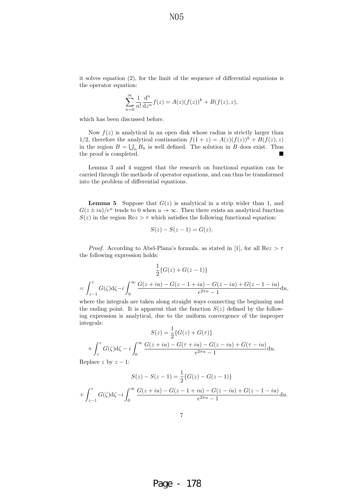N<sub>05</sub>

it solves equation (2), for the limit of the sequence of differential equations is the operator equation:

$$
\sum_{n=0}^{\infty} \frac{1}{n!} \frac{d^n}{dz^n} f(z) = A(z)(f(z))^k + B(f(z), z),
$$

which has been discussed before.

Now  $f(z)$  is analytical in an open disk whose radius is strictly larger than 1/2, therefore the analytical continuation  $f(1 + z) = A(z)(f(z))^k + B(f(z), z)$ in the region  $B = \bigcup_n B_n$  is well defined. The solution in B does exist. Thus the proof is completed.

Lemma 3 and 4 suggest that the research on functional equation can be carried through the methods of operator equations, and can thus be transformed into the problem of differential equations.

**Lemma 5** Suppose that  $G(z)$  is analytical in a strip wider than 1, and  $G(z \pm iu)/e^u$  tends to 0 when  $u \to \infty$ . Then there exists an analytical function  $S(z)$  in the region Re $z > \tau$  which satisfies the following functional equation:

$$
S(z) - S(z - 1) = G(z).
$$

*Proof.* According to Abel-Plana's formula, as stated in [1], for all  $\text{Re}z > \tau$ the following expression holds:

$$
\frac{1}{2}\{G(z) + G(z-1)\}\
$$

$$
= \int_{z-1}^{z} G(\zeta) d\zeta - i \int_{0}^{\infty} \frac{G(z+iu) - G(z-1+iu) - G(z-iu) + G(z-1-iu)}{e^{2\pi u} - 1} du,
$$

where the integrals are taken along straight ways connecting the beginning and the ending point. It is apparent that the function  $S(z)$  defined by the following expression is analytical, due to the uniform convergence of the improper integrals:

$$
S(z) = \frac{1}{2} \{ G(z) + G(\tau) \}
$$
  
+  $\int_{\tau}^{z} G(\zeta) d\zeta - i \int_{0}^{\infty} \frac{G(z + iu) - G(\tau + iu) - G(z - iu) + G(\tau - iu)}{e^{2\pi u} - 1} du.$ 

Replace z by  $z - 1$ :

$$
S(z) - S(z - 1) = \frac{1}{2} \{ G(z) - G(z - 1) \}
$$

$$
+ \int_{z-1}^{z} G(\zeta) d\zeta - i \int_{0}^{\infty} \frac{G(z + iu) - G(z - 1 + iu) - G(z - iu) + G(z - 1 - iu)}{e^{2\pi u} - 1} du.
$$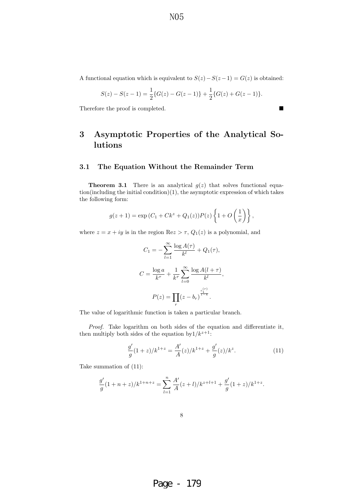A functional equation which is equivalent to  $S(z) - S(z - 1) = G(z)$  is obtained:

$$
S(z) - S(z - 1) = \frac{1}{2} \{ G(z) - G(z - 1) \} + \frac{1}{2} \{ G(z) + G(z - 1) \}.
$$

Therefore the proof is completed.

# **3 Asymptotic Properties of the Analytical Solutions**

### **3.1 The Equation Without the Remainder Term**

**Theorem 3.1** There is an analytical  $g(z)$  that solves functional equation(including the initial condition)(1), the asymptotic expression of which takes the following form:

$$
g(z + 1) = \exp(C_1 + Ck^z + Q_1(z))P(z)\left\{1 + O\left(\frac{1}{x}\right)\right\},\,
$$

where  $z = x + iy$  is in the region  $\text{Re}z > \tau$ ,  $Q_1(z)$  is a polynomial, and

$$
C_1 = -\sum_{l=1}^{\infty} \frac{\log A(\tau)}{k^l} + Q_1(\tau),
$$
  

$$
C = \frac{\log a}{k^{\tau}} + \frac{1}{k^{\tau}} \sum_{l=0}^{\infty} \frac{\log A(l+\tau)}{k^l},
$$
  

$$
P(z) = \prod_r (z - b_r)^{\frac{c_1^{(r)}}{1-k}}.
$$

The value of logarithmic function is taken a particular branch.

Proof. Take logarithm on both sides of the equation and differentiate it, then multiply both sides of the equation by  $1/k^{z+1}$ :

$$
\frac{g'}{g}(1+z)/k^{1+z} = \frac{A'}{A}(z)/k^{1+z} + \frac{g'}{g}(z)/k^z.
$$
 (11)

Take summation of (11):

$$
\frac{g'}{g}(1+n+z)/k^{1+n+z} = \sum_{l=1}^{n} \frac{A'}{A}(z+l)/k^{z+l+1} + \frac{g'}{g}(1+z)/k^{1+z}.
$$

Page - 179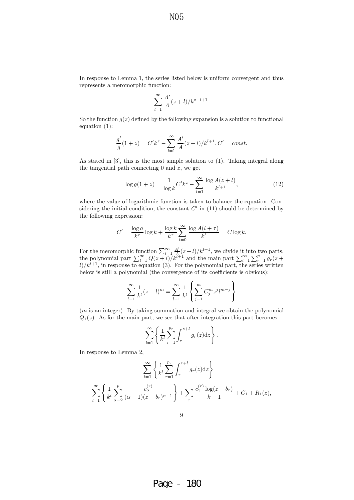N<sub>0</sub>5

In response to Lemma 1, the series listed below is uniform convergent and thus represents a meromorphic function:

$$
\sum_{l=1}^{\infty} \frac{A'}{A}(z+l)/k^{z+l+1}.
$$

So the function  $g(z)$  defined by the following expansion is a solution to functional equation (1):

$$
\frac{g'}{g}(1+z) = C'k^{z} - \sum_{l=1}^{\infty} \frac{A'}{A}(z+l)/k^{l+1}, C' = const.
$$

As stated in [3], this is the most simple solution to (1). Taking integral along the tangential path connecting  $0$  and  $z$ , we get

$$
\log g(1+z) = \frac{1}{\log k} C' k^z - \sum_{l=1}^{\infty} \frac{\log A(z+l)}{k^{l+1}},\tag{12}
$$

 $\mathbb{R}^2$ 

where the value of logarithmic function is taken to balance the equation. Considering the initial condition, the constant  $C'$  in (11) should be determined by the following expression:

$$
C' = \frac{\log a}{k^{\tau}} \log k + \frac{\log k}{k^{\tau}} \sum_{l=0}^{\infty} \frac{\log A(l+\tau)}{k^l} = C \log k.
$$

For the meromorphic function  $\sum_{l=1}^{\infty} \frac{A'}{A}(z+l)/k^{l+1}$ , we divide it into two parts, the polynomial part  $\sum_{l=1}^{\infty} \frac{Q(z+l)}{k^{l+1}}$  and the main part  $\sum_{l=1}^{\infty} \sum_{r=1}^{p} g_r(z+l)$  $\ell$ /k<sup> $l+1$ </sup>, in response to equation (3). For the polynomial part, the series written below is still a polynomial (the convergence of its coefficients is obvious):

$$
\sum_{l=1}^{\infty} \frac{1}{k^l} (z+l)^m = \sum_{l=1}^{\infty} \frac{1}{k^l} \left\{ \sum_{j=1}^m C_j^m z^j l^{m-j} \right\}
$$

 $(m \text{ is an integer}).$  By taking summation and integral we obtain the polynomial  $Q_1(z)$ . As for the main part, we see that after integration this part becomes

$$
\sum_{l=1}^{\infty} \left\{ \frac{1}{k^l} \sum_{r=1}^{p_r} \int_{\tau}^{z+l} g_r(z) \mathrm{d} z \right\}.
$$

In response to Lemma 2,

$$
\sum_{l=1}^{\infty} \left\{ \frac{1}{k^l} \sum_{r=1}^{p_r} \int_{\tau}^{z+l} g_r(z) dz \right\} =
$$
  

$$
\sum_{l=1}^{\infty} \left\{ \frac{1}{k^l} \sum_{\alpha=2}^{p} \frac{c_{\alpha}^{(r)}}{(\alpha-1)(z-b_r)^{\alpha-1}} \right\} + \sum_{r} \frac{c_1^{(r)} \log(z-b_r)}{k-1} + C_1 + R_1(z),
$$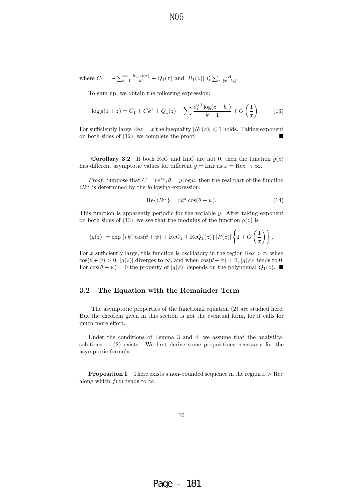N<sub>0</sub>5

where 
$$
C_1 = -\sum_{l=1}^{\infty} \frac{\log A(\tau)}{k^l} + Q_1(\tau)
$$
 and  $|R_1(z)| \le \sum_r \frac{A}{|x - b_r|}$ .

To sum up, we obtain the following expression:

$$
\log g(1+z) = C_1 + Ck^z + Q_1(z) - \sum_r \frac{c_1^{(r)} \log(z - b_r)}{k - 1} + O\left(\frac{1}{x}\right). \tag{13}
$$

For sufficiently large  $\text{Re}z = x$  the inequality  $|R_1(z)| \leq 1$  holds. Taking exponent on both sides of (12), we complete the proof.

**Corollary 3.2** If both ReC and ImC are not 0, then the function  $g(z)$ has different asymptotic values for different  $y = \text{Im} z$  as  $x = \text{Re} z \to \infty$ .

*Proof.* Suppose that  $C = re^{i\psi}, \theta = y \log k$ , then the real part of the function  $Ck^z$  is determined by the following expression:

$$
\operatorname{Re}\{Ck^z\} = rk^x \cos(\theta + \psi). \tag{14}
$$

This function is apparently periodic for the variable  $y$ . After taking exponent on both sides of (13), we see that the modulus of the function  $g(z)$  is

$$
|g(z)| = \exp \left\{ r k^x \cos(\theta + \psi) + \text{Re}C_1 + \text{Re}Q_1(z) \right\} |P(z)| \left\{ 1 + O\left(\frac{1}{x}\right) \right\}.
$$

For x sufficiently large, this function is oscillatory in the region  $\text{Re}z > \tau$ : when  $\cos(\theta + \psi) > 0$ ,  $|g(z)|$  diverges to  $\infty$ , and when  $\cos(\theta + \psi) < 0$ ,  $|g(z)|$  tends to 0. For  $\cos(\theta + \psi) = 0$  the property of  $|g(z)|$  depends on the polynomial  $Q_1(z)$ .

### **3.2 The Equation with the Remainder Term**

The asymptotic properties of the functional equation (2) are studied here. But the theorem given in this section is not the eventual form, for it calls for much more effort.

Under the conditions of Lemma 3 and 4, we assume that the analytical solutions to (2) exists. We first derive some propositions necessary for the asymptotic formula.

**Proposition I** There exists a non-bounded sequence in the region  $x > \text{Re}\tau$ along which  $f(z)$  tends to  $\infty$ .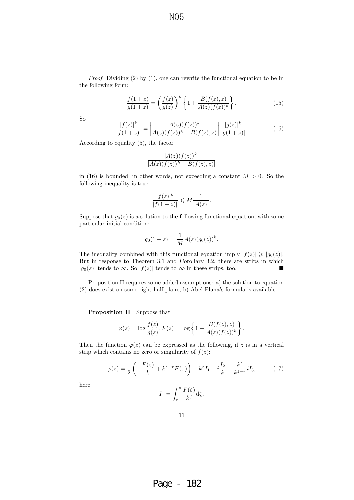Proof. Dividing (2) by (1), one can rewrite the functional equation to be in the following form:

N<sub>0</sub>5

$$
\frac{f(1+z)}{g(1+z)} = \left(\frac{f(z)}{g(z)}\right)^k \left\{1 + \frac{B(f(z), z)}{A(z)(f(z))^k}\right\}.
$$
\n(15)

So

$$
\frac{|f(z)|^k}{|f(1+z)|} = \left| \frac{A(z)(f(z))^k}{A(z)(f(z))^k + B(f(z), z)} \right| \frac{|g(z)|^k}{|g(1+z)|}.
$$
\n(16)

According to equality (5), the factor

$$
\frac{|A(z)(f(z))^k|}{|A(z)(f(z))^k + B(f(z),z)|}
$$

in (16) is bounded, in other words, not exceeding a constant  $M > 0$ . So the following inequality is true:

$$
\frac{|f(z)|^k}{|f(1+z)|}\leqslant M\frac{1}{|A(z)|}.
$$

Suppose that  $g_0(z)$  is a solution to the following functional equation, with some particular initial condition:

$$
g_0(1+z) = \frac{1}{M}A(z)(g_0(z))^k.
$$

The inequality combined with this functional equation imply  $|f(z)| \geq |g_0(z)|$ . But in response to Theorem 3.1 and Corollary 3.2, there are strips in which  $|g_0(z)|$  tends to  $\infty$ . So  $|f(z)|$  tends to  $\infty$  in these strips, too.

Proposition II requires some added assumptions: a) the solution to equation (2) does exist on some right half plane; b) Abel-Plana's formula is available.

**Proposition II** Suppose that

$$
\varphi(z) = \log \frac{f(z)}{g(z)}, F(z) = \log \left\{ 1 + \frac{B(f(z), z)}{A(z)(f(z))^k} \right\}.
$$

Then the function  $\varphi(z)$  can be expressed as the following, if z is in a vertical strip which contains no zero or singularity of  $f(z)$ :

$$
\varphi(z) = \frac{1}{2} \left( -\frac{F(z)}{k} + k^{z-\tau} F(\tau) \right) + k^z I_1 - i \frac{I_2}{k} - \frac{k^z}{k^{1+\tau}} i I_3,
$$
 (17)

here

$$
I_1 = \int_{\tau}^{z} \frac{F(\zeta)}{k^{\zeta}} d\zeta,
$$

11

Page - 182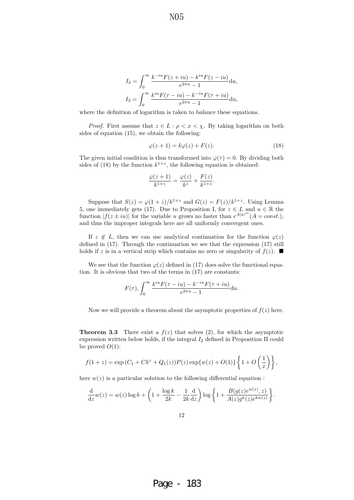$$
I_2 = \int_0^\infty \frac{k^{-iu} F(z+iu) - k^{iu} F(z-iu)}{e^{2\pi u} - 1} du,
$$
  

$$
I_3 = \int_0^\infty \frac{k^{iu} F(\tau - iu) - k^{-iu} F(\tau + iu)}{e^{2\pi u} - 1} du,
$$

where the definition of logarithm is taken to balance these equations.

*Proof.* First assume that  $z \in L : \rho < x < \chi$ . By taking logarithm on both sides of equation (15), we obtain the following:

$$
\varphi(z+1) = k\varphi(z) + F(z). \tag{18}
$$

The given initial condition is thus transformed into  $\varphi(\tau) = 0$ . By dividing both sides of (18) by the function  $k^{1+z}$ , the following equation is obtained:

$$
\frac{\varphi(z+1)}{k^{1+z}} = \frac{\varphi(z)}{k^z} + \frac{F(z)}{k^{1+z}}.
$$

Suppose that  $S(z) = \varphi(1+z)/k^{1+z}$  and  $G(z) = F(z)/k^{1+z}$ . Using Lemma 5, one immediately gets (17). Due to Proposition I, for  $z \in L$  and  $u \in \mathbb{R}$  the function  $|f(z \pm iu)|$  for the variable u grows no faster than  $e^{A|u|^m} (A = const.)$ , and thus the improper integrals here are all uniformly convergent ones.

If  $z \notin L$ , then we can use analytical continuation for the function  $\varphi(z)$ defined in (17). Through the continuation we see that the expression (17) still holds if z is in a vertical strip which contains no zero or singularity of  $f(z)$ .

We see that the function  $\varphi(z)$  defined in (17) does solve the functional equation. It is obvious that two of the terms in (17) are constants:

$$
F(\tau), \int_0^\infty \frac{k^{iu} F(\tau - iu) - k^{-iu} F(\tau + iu)}{e^{2\pi u} - 1} \mathrm{d}u.
$$

Now we will provide a theorem about the asymptotic properties of  $f(z)$  here.

**Theorem 3.3** There exist a  $f(z)$  that solves (2), for which the asymptotic expression written below holds, if the integral  $I_2$  defined in Proposition II could be proved  $O(1)$ :

$$
f(1+z) = \exp(C_1 + Ck^z + Q_1(z))P(z)\exp\{w(z) + O(1)\}\left\{1 + O\left(\frac{1}{x}\right)\right\},\,
$$

here  $w(z)$  is a particular solution to the following differential equation :

$$
\frac{\mathrm{d}}{\mathrm{d}z}w(z) = w(z)\log k + \left(1 + \frac{\log k}{2k} - \frac{1}{2k}\frac{\mathrm{d}}{\mathrm{d}z}\right)\log\left\{1 + \frac{B(g(z)e^{w(z)}, z)}{A(z)g^k(z)e^{kw(z)}}\right\}.
$$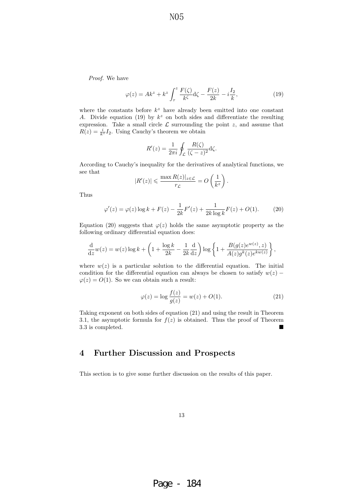Proof. We have

$$
\varphi(z) = Ak^z + k^z \int_{\tau}^{z} \frac{F(\zeta)}{k^{\zeta}} d\zeta - \frac{F(z)}{2k} - i\frac{I_2}{k},\tag{19}
$$

where the constants before  $k^z$  have already been emitted into one constant A. Divide equation (19) by  $k^z$  on both sides and differentiate the resulting expression. Take a small circle  $\mathcal L$  surrounding the point  $z$ , and assume that  $R(z) = \frac{i}{k^z} I_2$ . Using Cauchy's theorem we obtain

$$
R'(z) = \frac{1}{2\pi i} \oint_{\mathcal{L}} \frac{R(\zeta)}{(\zeta - z)^2} \mathrm{d}\zeta.
$$

According to Cauchy's inequality for the derivatives of analytical functions, we see that

$$
|R'(z)| \leq \frac{\max R(z)|_{z \in \mathcal{L}}}{r_{\mathcal{L}}} = O\left(\frac{1}{k^z}\right).
$$

Thus

$$
\varphi'(z) = \varphi(z) \log k + F(z) - \frac{1}{2k} F'(z) + \frac{1}{2k \log k} F(z) + O(1). \tag{20}
$$

Equation (20) suggests that  $\varphi(z)$  holds the same asymptotic property as the following ordinary differential equation does:

$$
\frac{\mathrm{d}}{\mathrm{d}z}w(z) = w(z) \log k + \left(1 + \frac{\log k}{2k} - \frac{1}{2k}\frac{\mathrm{d}}{\mathrm{d}z}\right) \log \left\{1 + \frac{B(g(z)e^{w(z)}, z)}{A(z)g^k(z)e^{kw(z)}}\right\},
$$

where  $w(z)$  is a particular solution to the differential equation. The initial condition for the differential equation can always be chosen to satisfy  $w(z)$  −  $\varphi(z) = O(1)$ . So we can obtain such a result:

$$
\varphi(z) = \log \frac{f(z)}{g(z)} = w(z) + O(1).
$$
 (21)

Taking exponent on both sides of equation (21) and using the result in Theorem 3.1, the asymptotic formula for  $f(z)$  is obtained. Thus the proof of Theorem 3.3 is completed.

# **4 Further Discussion and Prospects**

This section is to give some further discussion on the results of this paper.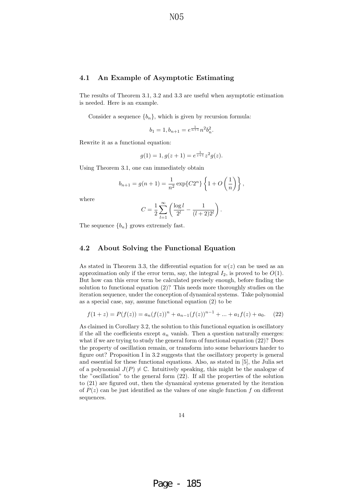### **4.1 An Example of Asymptotic Estimating**

The results of Theorem 3.1, 3.2 and 3.3 are useful when asymptotic estimation is needed. Here is an example.

Consider a sequence  ${b_n}$ , which is given by recursion formula:

$$
b_1 = 1, b_{n+1} = e^{\frac{1}{n+1}} n^2 b_n^2.
$$

Rewrite it as a functional equation:

$$
g(1) = 1, g(z+1) = e^{\frac{1}{z+1}} z^2 g(z).
$$

Using Theorem 3.1, one can immediately obtain

$$
b_{n+1} = g(n+1) = \frac{1}{n^2} \exp\{C2^n\} \left\{ 1 + O\left(\frac{1}{n}\right) \right\},\,
$$

where

$$
C = \frac{1}{2} \sum_{l=1}^{\infty} \left( \frac{\log l}{2^l} - \frac{1}{(l+2)2^l} \right).
$$

The sequence  ${b_n}$  grows extremely fast.

### **4.2 About Solving the Functional Equation**

As stated in Theorem 3.3, the differential equation for  $w(z)$  can be used as an approximation only if the error term, say, the integral  $I_2$ , is proved to be  $O(1)$ . But how can this error term be calculated precisely enough, before finding the solution to functional equation (2)? This needs more thoroughly studies on the iteration sequence, under the conception of dynamical systems. Take polynomial as a special case, say, assume functional equation (2) to be

$$
f(1+z) = P(f(z)) = a_n(f(z))^n + a_{n-1}(f(z))^{n-1} + \dots + a_1f(z) + a_0.
$$
 (22)

As claimed in Corollary 3.2, the solution to this functional equation is oscillatory if the all the coefficients except  $a_n$  vanish. Then a question naturally emerges: what if we are trying to study the general form of functional equation  $(22)$ ? Does the property of oscillation remain, or transform into some behaviours harder to figure out? Proposition I in 3.2 suggests that the oscillatory property is general and essential for these functional equations. Also, as stated in [5], the Julia set of a polynomial  $J(P) \neq \mathbb{C}$ . Intuitively speaking, this might be the analogue of the "oscillation" to the general form (22). If all the properties of the solution to (21) are figured out, then the dynamical systems generated by the iteration of  $P(z)$  can be just identified as the values of one single function f on different sequences.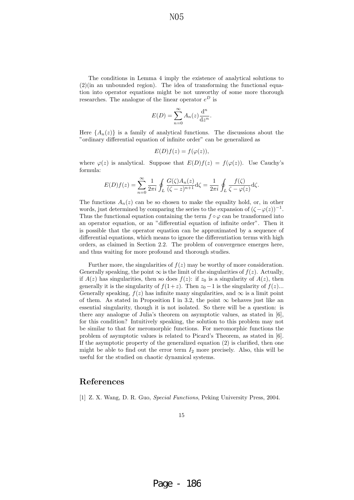The conditions in Lemma 4 imply the existence of analytical solutions to  $(2)$ (in an unbounded region). The idea of transforming the functional equation into operator equations might be not unworthy of some more thorough researches. The analogue of the linear operator  $e^D$  is

$$
E(D) = \sum_{n=0}^{\infty} A_n(z) \frac{d^n}{dz^n}.
$$

Here  $\{A_n(z)\}\$ is a family of analytical functions. The discussions about the "ordinary differential equation of infinite order" can be generalized as

$$
E(D)f(z) = f(\varphi(z)),
$$

where  $\varphi(z)$  is analytical. Suppose that  $E(D)f(z) = f(\varphi(z))$ . Use Cauchy's formula:

$$
E(D)f(z) = \sum_{n=0}^{\infty} \frac{1}{2\pi i} \oint_L \frac{G(\zeta)A_n(z)}{(\zeta - z)^{n+1}} \mathrm{d}\zeta = \frac{1}{2\pi i} \oint_L \frac{f(\zeta)}{\zeta - \varphi(z)} \mathrm{d}\zeta.
$$

The functions  $A_n(z)$  can be so chosen to make the equality hold, or, in other words, just determined by comparing the series to the expansion of  $(\zeta - \varphi(z))^{-1}$ . Thus the functional equation containing the term  $f \circ \varphi$  can be transformed into an operator equation, or an "differential equation of infinite order". Then it is possible that the operator equation can be approximated by a sequence of differential equations, which means to ignore the differentiation terms with high orders, as claimed in Section 2.2. The problem of convergence emerges here, and thus waiting for more profound and thorough studies.

Further more, the singularities of  $f(z)$  may be worthy of more consideration. Generally speaking, the point  $\infty$  is the limit of the singularities of  $f(z)$ . Actually, if  $A(z)$  has singularities, then so does  $f(z)$ : if  $z_0$  is a singularity of  $A(z)$ , then generally it is the singularity of  $f(1+z)$ . Then  $z_0 - 1$  is the singularity of  $f(z)$ ... Generally speaking,  $f(z)$  has infinite many singularities, and  $\infty$  is a limit point of them. As stated in Proposition I in 3.2, the point  $\infty$  behaves just like an essential singularity, though it is not isolated. So there will be a question: is there any analogue of Julia's theorem on asymptotic values, as stated in [6], for this condition? Intuitively speaking, the solution to this problem may not be similar to that for meromorphic functions. For meromorphic functions the problem of asymptotic values is related to Picard's Theorem, as stated in [6]. If the asymptotic property of the generalized equation (2) is clarified, then one might be able to find out the error term  $I_2$  more precisely. Also, this will be useful for the studied on chaotic dynamical systems.

# **References**

[1] Z. X. Wang, D. R. Guo, Special Functions, Peking University Press, 2004.